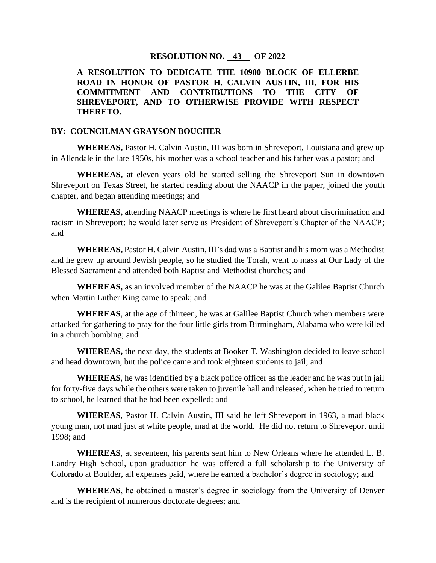## **RESOLUTION NO. 43 OF 2022**

**A RESOLUTION TO DEDICATE THE 10900 BLOCK OF ELLERBE ROAD IN HONOR OF PASTOR H. CALVIN AUSTIN, III, FOR HIS COMMITMENT AND CONTRIBUTIONS TO THE CITY OF SHREVEPORT, AND TO OTHERWISE PROVIDE WITH RESPECT THERETO.**

## **BY: COUNCILMAN GRAYSON BOUCHER**

**WHEREAS,** Pastor H. Calvin Austin, III was born in Shreveport, Louisiana and grew up in Allendale in the late 1950s, his mother was a school teacher and his father was a pastor; and

**WHEREAS,** at eleven years old he started selling the Shreveport Sun in downtown Shreveport on Texas Street, he started reading about the NAACP in the paper, joined the youth chapter, and began attending meetings; and

**WHEREAS,** attending NAACP meetings is where he first heard about discrimination and racism in Shreveport; he would later serve as President of Shreveport's Chapter of the NAACP; and

**WHEREAS,** Pastor H. Calvin Austin, III's dad was a Baptist and his mom was a Methodist and he grew up around Jewish people, so he studied the Torah, went to mass at Our Lady of the Blessed Sacrament and attended both Baptist and Methodist churches; and

**WHEREAS,** as an involved member of the NAACP he was at the Galilee Baptist Church when Martin Luther King came to speak; and

**WHEREAS**, at the age of thirteen, he was at Galilee Baptist Church when members were attacked for gathering to pray for the four little girls from Birmingham, Alabama who were killed in a church bombing; and

**WHEREAS,** the next day, the students at Booker T. Washington decided to leave school and head downtown, but the police came and took eighteen students to jail; and

**WHEREAS**, he was identified by a black police officer as the leader and he was put in jail for forty-five days while the others were taken to juvenile hall and released, when he tried to return to school, he learned that he had been expelled; and

**WHEREAS**, Pastor H. Calvin Austin, III said he left Shreveport in 1963, a mad black young man, not mad just at white people, mad at the world. He did not return to Shreveport until 1998; and

**WHEREAS**, at seventeen, his parents sent him to New Orleans where he attended L. B. Landry High School, upon graduation he was offered a full scholarship to the University of Colorado at Boulder, all expenses paid, where he earned a bachelor's degree in sociology; and

**WHEREAS**, he obtained a master's degree in sociology from the University of Denver and is the recipient of numerous doctorate degrees; and